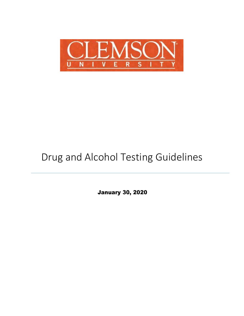

# Drug and Alcohol Testing Guidelines

January 30, 2020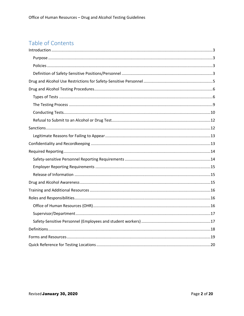## Table of Contents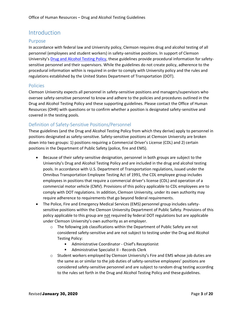### <span id="page-2-0"></span>Introduction

#### <span id="page-2-1"></span>Purpose

In accordance with federal law and University policy, Clemson requires drug and alcohol testing of all personnel (employees and student workers) in safety-sensitive positions. In support of Clemson University's [Drug and Alcohol Testing Policy, t](http://media.clemson.edu/humanres/policies_procedures/Drug_And_Alcohol/Drug%20and%20Alcohol%20Testing%20Policy.pdf)hese guidelines provide procedural information for safetysensitive personnel and their supervisors. While the guidelines do not create policy, adherence to the procedural information within is required in order to comply with University policy and the rules and regulations established by the United States Department of Transportation (DOT).

#### <span id="page-2-2"></span>Policies

Clemson University expects all personnel in safety-sensitive positions and managers/supervisors who oversee safety-sensitive personnel to know and adhere to the policies and procedures outlined in the Drug and Alcohol Testing Policy and these supporting guidelines. Please contact the Office of Human Resources (OHR) with questions or to confirm whether a position is designated safety-sensitive and covered in the testing pools.

#### <span id="page-2-3"></span>Definition of Safety-Sensitive Positions/Personnel

These guidelines (and the Drug and Alcohol Testing Policy from which they derive) apply to personnel in positions designated as safety-sensitive. Safety-sensitive positions at Clemson University are broken down into two groups: 1) positions requiring a Commercial Driver's License (CDL) and 2) certain positions in the Department of Public Safety (police, fire and EMS).

- Because of their safety-sensitive designation, personnel in both groups are subject to the University's Drug and Alcohol Testing Policy and are included in the drug and alcohol testing pools. In accordance with U.S. Department of Transportation regulations, issued under the Omnibus Transportation Employee Testing Act of 1991, the CDL employee group includes employees in positions that require a commercial driver's license (CDL) and operation of a commercial motor vehicle (CMV). Provisions of this policy applicable to CDL employees are to comply with DOT regulations. In addition, Clemson University, under its own authority may require adherence to requirements that go beyond federal requirements.
- The Police, Fire and Emergency Medical Services (EMS) personnel group includes safetysensitive positions within the Clemson University Department of Public Safety. Provisions of this policy applicable to this group are not required by federal DOT regulations but are applicable under Clemson University's own authority as an employer.
	- o The following job classifications within the Department of Public Safety are not considered safety-sensitive and are not subject to testing under the Drug and Alcohol Testing Policy:
		- Administrative Coordinator Chief's Receptionist
		- Administrative Specialist II Records Clerk
	- $\circ$  Student workers employed by Clemson University's Fire and EMS whose job duties are the same as or similar to the job duties of safety-sensitive employees' positions are considered safety-sensitive personnel and are subject to random drug testing according to the rules set forth in the Drug and Alcohol Testing Policy and these guidelines.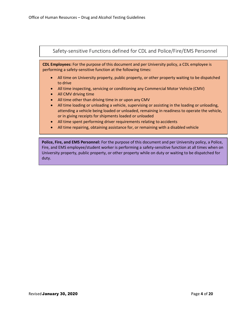

duty.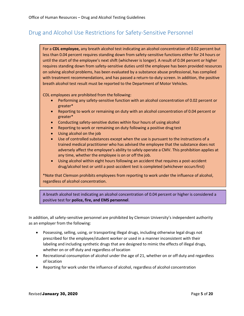### <span id="page-4-0"></span>Drug and Alcohol Use Restrictions for Safety-Sensitive Personnel

For a **CDL employee,** any breath alcohol test indicating an alcohol concentration of 0.02 percent but less than 0.04 percent requires standing down from safety-sensitive functions either for 24 hours or until the start of the employee's next shift (whichever is longer). A result of 0.04 percent or higher requires standing down from safety-sensitive duties until the employee has been provided resources on solving alcohol problems, has been evaluated by a substance abuse professional, has complied with treatment recommendations, and has passed a return-to-duty screen. In addition, the positive breath alcohol test result must be reported to the Department of Motor Vehicles.

CDL employees are prohibited from the following:

- Performing any safety-sensitive function with an alcohol concentration of 0.02 percent or greater\*
- Reporting to work or remaining on duty with an alcohol concentration of 0.04 percent or greater\*
- Conducting safety-sensitive duties within four hours of using alcohol
- Reporting to work or remaining on duty following a positive drug test
- Using alcohol on the job
- Use of controlled substances except when the use is pursuant to the instructions of a trained medical practitioner who has advised the employee that the substance does not adversely affect the employee's ability to safely operate a CMV. This prohibition applies at any time, whether the employee is on or off the job.
- Using alcohol within eight hours following an accident that requires a post-accident drug/alcohol test or until a post-accident test is completed (whichever occursfirst)

\*Note that Clemson prohibits employees from reporting to work under the influence of alcohol, regardless of alcohol concentration.

A breath alcohol test indicating an alcohol concentration of 0.04 percent or higher is considered a positive test for **police, fire, and EMS personnel**.

In addition, all safety-sensitive personnel are prohibited by Clemson University's independent authority as an employer from the following:

- Possessing, selling, using, or transporting illegal drugs, including otherwise legal drugs not prescribed for the employee/student worker or used in a manner inconsistent with their labeling and including synthetic drugs that are designed to mimic the effects of illegal drugs, whether on or off duty and regardless of location
- Recreational consumption of alcohol under the age of 21, whether on or off duty and regardless of location
- Reporting for work under the influence of alcohol, regardless of alcohol concentration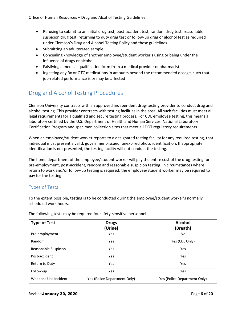- Refusing to submit to an initial drug test, post-accident test, random drug test, reasonable suspicion drug test, returning to duty drug test or follow-up drug or alcohol test as required under Clemson's Drug and Alcohol Testing Policy and these guidelines
- Submitting an adulterated sample
- Concealing knowledge of another employee/student worker's using or being under the influence of drugs or alcohol
- Falsifying a medical qualification form from a medical provider or pharmacist
- Ingesting any Rx or OTC medications in amounts beyond the recommended dosage, such that job-related performance is or may be affected

### <span id="page-5-0"></span>Drug and Alcohol Testing Procedures

Clemson University contracts with an approved independent drug-testing provider to conduct drug and alcohol testing. This provider contracts with testing facilities in the area. All such facilities must meet all legal requirements for a qualified and secure testing process. For CDL employee testing, this means a laboratory certified by the U.S. Department of Health and Human Services' National Laboratory Certification Program and specimen collection sites that meet all DOT regulatory requirements.

When an employee/student worker reports to a designated testing facility for any required testing, that individual must present a valid, government-issued, unexpired photo identification. If appropriate identification is not presented, the testing facility will not conduct the testing.

The home department of the employee/student worker will pay the entire cost of the drug testing for pre-employment, post-accident, random and reasonable suspicion testing. In circumstances where return to work and/or follow-up testing is required, the employee/student worker may be required to pay for the testing.

#### <span id="page-5-1"></span>Types of Tests

To the extent possible, testing is to be conducted during the employee/student worker's normally scheduled work hours.

| <b>Type of Test</b>  | <b>Drugs</b><br>(Urine)      | <b>Alcohol</b><br>(Breath)   |
|----------------------|------------------------------|------------------------------|
| Pre-employment       | Yes                          | No                           |
| Random               | Yes                          | Yes (CDL Only)               |
| Reasonable Suspicion | Yes                          | Yes                          |
| Post-accident        | Yes                          | Yes                          |
| Return to Duty       | Yes                          | Yes                          |
| Follow-up            | Yes                          | Yes                          |
| Weapons Use Incident | Yes (Police Department Only) | Yes (Police Department Only) |

The following tests may be required for safety-sensitive personnel: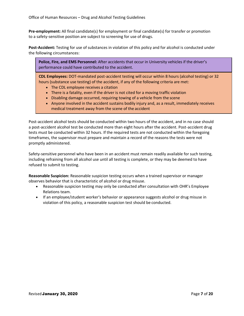**Pre-employment:** All final candidate(s) for employment or final candidate(s) for transfer or promotion to a safety-sensitive position are subject to screening for use of drugs.

**Post-Accident:** Testing for use of substances in violation of this policy and for alcohol is conducted under the following circumstances:

**Police, Fire, and EMS Personnel:** After accidents that occur in University vehicles if the driver's performance could have contributed to the accident.

**CDL Employees:** DOT-mandated post-accident testing will occur within 8 hours (alcohol testing) or 32 hours (substance use testing) of the accident, if any of the following criteria are met:

- The CDL employee receives a citation
- There is a fatality, even if the driver is not cited for a moving traffic violation
- Disabling damage occurred, requiring towing of a vehicle from the scene
- Anyone involved in the accident sustains bodily injury and, as a result, immediately receives medical treatment away from the scene of the accident

Post-accident alcohol tests should be conducted within two hours of the accident, and in no case should a post-accident alcohol test be conducted more than eight hours after the accident. Post-accident drug tests must be conducted within 32 hours. If the required tests are not conducted within the foregoing timeframes, the supervisor must prepare and maintain a record of the reasons the tests were not promptly administered.

Safety-sensitive personnel who have been in an accident must remain readily available for such testing, including refraining from all alcohol use until all testing is complete, or they may be deemed to have refused to submit to testing.

**Reasonable Suspicion:** Reasonable suspicion testing occurs when a trained supervisor or manager observes behavior that is characteristic of alcohol or drug misuse.

- Reasonable suspicion testing may only be conducted after consultation with OHR's Employee Relations team.
- If an employee/student worker's behavior or appearance suggests alcohol or drug misuse in violation of this policy, a reasonable suspicion test should be conducted.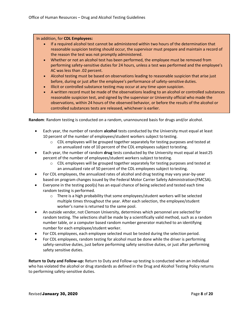#### In addition, for **CDL Employees:**

- If a required alcohol test cannot be administered within two hours of the determination that reasonable suspicion testing should occur, the supervisor must prepare and maintain a record of the reason the test was not promptly administered.
- Whether or not an alcohol test has been performed, the employee must be removed from performing safety-sensitive duties for 24 hours, unless a test was performed and the employee's AC was less than .02 percent.
- Alcohol testing must be based on observations leading to reasonable suspicion that arise just before, during or just after the employee's performance of safety-sensitive duties.
- Illicit or controlled substance testing may occur at any time upon suspicion.
- A written record must be made of the observations leading to an alcohol or controlled substances reasonable suspicion test, and signed by the supervisor or University official who made the observations, within 24 hours of the observed behavior, or before the results of the alcohol or controlled substances tests are released, whichever is earlier.

**Random**: Random testing is conducted on a random, unannounced basis for drugs and/or alcohol.

- Each year, the number of random **alcohol** tests conducted by the University must equal at least 10 percent of the number of employees/student workers subject to testing.
	- $\circ$  CDL employees will be grouped together separately for testing purposes and tested at an annualized rate of 10 percent of the CDL employees subject to testing.
- Each year, the number of random **drug** tests conducted by the University must equal at least25 percent of the number of employees/student workers subject to testing.
	- $\circ$  CDL employees will be grouped together separately for testing purposes and tested at an annualized rate of 50 percent of the CDL employees subject to testing.
- For CDL employees, the annualized rates of alcohol and drug testing may vary year-by-year based on program changes issued by the Federal Motor Carrier Safety Administration(FMCSA).
- Everyone in the testing pool(s) has an equal chance of being selected and tested each time random testing is performed.
	- $\circ$  There is a high probability that some employees/student workers will be selected multiple times throughout the year. After each selection, the employee/student worker's name is returned to the same pool.
- An outside vendor, not Clemson University, determines which personnel are selected for random testing. The selections shall be made by a scientifically valid method, such as a random number table, or a computer based random number generator matched to an identifying number for each employee/student worker.
- For CDL employees, each employee selected must be tested during the selection period.
- For CDL employees, random testing for alcohol must be done while the driver is performing safety-sensitive duties, just before performing safety sensitive duties, or just after performing safety sensitive duties.

**Return to Duty and Follow-up:** Return to Duty and Follow-up testing is conducted when an individual who has violated the alcohol or drug standards as defined in the Drug and Alcohol Testing Policy returns to performing safety-sensitive duties.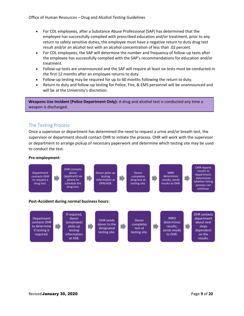- For CDL employees, after a Substance Abuse Professional (SAP) has determined that the employee has successfully complied with prescribed education and/or treatment, prior to any return to safety sensitive duties, the employee must have a negative return to duty drug test result and/or an alcohol test with an alcohol concentration of less than .02 percent.
- For CDL employees, the SAP will determine the number and frequency of follow-up tests after the employee has successfully complied with the SAP's recommendations for education and/or treatment.
- Follow-up tests are unannounced and the SAP will require at least six tests must be conducted in the first 12 months after an employee returns to duty.
- Follow-up testing may be required for up to 60 months following the return to duty.
- Return to duty and follow-up testing for Police, Fire, & EMS personnel will be unannounced and will be at the University's discretion.

**Weapons Use Incident (Police Department Only):** A drug and alcohol test is conducted any time a weapon is discharged.

#### <span id="page-8-0"></span>The Testing Process

Once a supervisor or department has determined the need to request a urine and/or breath test, the supervisor or department should contact OHR to initiate the process. OHR will work with the supervisor or department to arrange pickup of necessary paperwork and determine which testing site may be used to conduct the test.

#### **Pre-employment**:

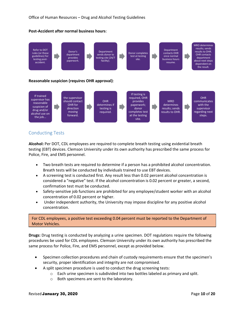

#### **Post-Accident after normal business hours**:

#### <span id="page-9-0"></span>Conducting Tests

**Alcohol:** Per DOT, CDL employees are required to complete breath testing using evidential breath testing (EBT) devices. Clemson University under its own authority has prescribed the same process for Police, Fire, and EMS personnel.

• Two breath tests are required to determine if a person has a prohibited alcohol concentration. Breath tests will be conducted by individuals trained to use EBT devices.

site.

- A screening test is conducted first. Any result less than 0.02 percent alcohol concentration is considered a "negative" test. If the alcohol concentration is 0.02 percent or greater, a second, confirmation test must be conducted.
- Safety-sensitive job functions are prohibited for any employee/student worker with an alcohol concentration of 0.02 percent or higher.
- Under independent authority, the University may impose discipline for any positive alcohol concentration.

#### For CDL employees, a positive test exceeding 0.04 percent must be reported to the Department of Motor Vehicles.

**Drugs:** Drug testing is conducted by analyzing a urine specimen. DOT regulations require the following procedures be used for CDL employees. Clemson University under its own authority has prescribed the same process for Police, Fire, and EMS personnel, except as provided below.

- Specimen collection procedures and chain of custody requirements ensure that the specimen's security, proper identification and integrity are not compromised.
- A split specimen procedure is used to conduct the drug screening tests:
	- $\circ$  Each urine specimen is subdivided into two bottles labeled as primary and split.
	- o Both specimens are sent to the laboratory.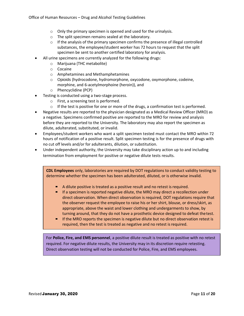- o Only the primary specimen is opened and used for the urinalysis.
- o The split specimen remains sealed at the laboratory.
- $\circ$  If the analysis of the primary specimen confirms the presence of illegal controlled substances, the employee/student worker has 72 hours to request that the split specimen be sent to another certified laboratory for analysis.
- All urine specimens are currently analyzed for the following drugs:
	- o Marijuana (THC metabolite)
		- o Cocaine
		- o Amphetamines and Methamphetamines
		- o Opioids (hydrocodone, hydromorphone, oxycodone, oxymorphone, codeine, morphine, and 6-acetylmorphoine (heroin)), and
		- o Phencyclidine (PCP)
- Testing is conducted using a two-stage process.
	- o First, a screening test is performed.
	- $\circ$  If the test is positive for one or more of the drugs, a confirmation test is performed.
- Negative results are reported to the physician designated as a Medical Review Officer (MRO) as a negative. Specimens confirmed positive are reported to the MRO for review and analysis before they are reported to the University. The laboratory may also report the specimen as dilute, adulterated, substituted, or invalid.
- Employees/student workers who want a split specimen tested must contact the MRO within 72 hours of notification of a positive result. Split specimen testing is for the presence of drugs with no cut off levels and/or for adulterants, dilution, orsubstitution.
- Under independent authority, the University may take disciplinary action up to and including termination from employment for positive or negative dilute tests results.

**CDL Employees** only, laboratories are required by DOT regulations to conduct validity testing to determine whether the specimen has been adulterated, diluted, or is otherwise invalid.

- A dilute positive is treated as a positive result and no retest is required.
- If a specimen is reported negative dilute, the MRO may direct a recollection under direct observation. When direct observation is required, DOT regulations require that the observer request the employee to raise his or her shirt, blouse, or dress/skirt, as appropriate, above the waist and lower clothing and undergarments to show, by turning around, that they do not have a prosthetic device designed to defeat thetest.
- **If the MRO reports the specimen is negative dilute but no direct observation retest is** required, then the test is treated as negative and no retest is required.

For **Police, Fire, and EMS personnel**, a positive dilute result is treated as positive with no retest required. For negative dilute results, the University may in its discretion require retesting. Direct observation testing will not be conducted for Police, Fire, and EMS employees.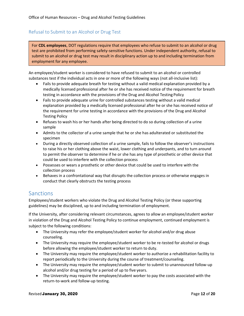#### <span id="page-11-0"></span>Refusal to Submit to an Alcohol or Drug Test

For **CDL employees**, DOT regulations require that employees who refuse to submit to an alcohol or drug test are prohibited from performing safety-sensitive functions. Under independent authority, refusal to submit to an alcohol or drug test may result in disciplinary action up to and including termination from employment for any employee.

An employee/student worker is considered to have refused to submit to an alcohol or controlled substances test if the individual acts in one or more of the following ways (not all-inclusive list):

- Fails to provide adequate breath for testing without a valid medical explanation provided by a medically licensed professional after he or she has received notice of the requirement for breath testing in accordance with the provisions of the Drug and Alcohol Testing Policy
- Fails to provide adequate urine for controlled substances testing without a valid medical explanation provided by a medically licensed professional after he or she has received notice of the requirement for urine testing in accordance with the provisions of the Drug and Alcohol Testing Policy
- Refuses to wash his or her hands after being directed to do so during collection of a urine sample
- Admits to the collector of a urine sample that he or she has adulterated or substituted the specimen
- During a directly observed collection of a urine sample, fails to follow the observer's instructions to raise his or her clothing above the waist, lower clothing and underpants, and to turn around to permit the observer to determine if he or she has any type of prosthetic or other device that could be used to interfere with the collection process
- Possesses or wears a prosthetic or other device that could be used to interfere with the collection process
- Behaves in a confrontational way that disrupts the collection process or otherwise engages in conduct that clearly obstructs the testing process

### <span id="page-11-1"></span>**Sanctions**

Employees/student workers who violate the Drug and Alcohol Testing Policy (or these supporting guidelines) may be disciplined, up to and including termination of employment.

If the University, after considering relevant circumstances, agrees to allow an employee/student worker in violation of the Drug and Alcohol Testing Policy to continue employment, continued employment is subject to the following conditions:

- The University may refer the employee/student worker for alcohol and/or drug abuse counseling.
- The University may require the employee/student worker to be re-tested for alcohol or drugs before allowing the employee/student worker to return to duty.
- The University may require the employee/student worker to authorize a rehabilitation facility to report periodically to the University during the course of treatment/counseling.
- The University may require the employee/student worker to submit to unannounced follow-up alcohol and/or drug testing for a period of up to five years.
- The University may require the employee/student worker to pay the costs associated with the return-to-work and follow-up testing.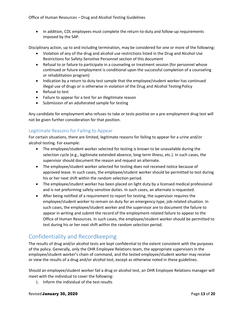• In addition, CDL employees must complete the return-to-duty and follow-up requirements imposed by the SAP.

Disciplinary action, up to and including termination, may be considered for one or more of the following:

- Violation of any of the drug and alcohol use restrictions listed in the Drug and Alcohol Use Restrictions for Safety-Sensitive Personnel section of this document
- Refusal to or failure to participate in a counseling or treatment session (for personnel whose continued or future employment is conditional upon the successful completion of a counseling or rehabilitation program)
- Indication by a return to duty test sample that the employee/student worker has continued illegal use of drugs or is otherwise in violation of the Drug and Alcohol Testing Policy
- Refusal to test
- Failure to appear for a test for an illegitimate reason
- Submission of an adulterated sample for testing

Any candidate for employment who refuses to take or tests positive on a pre-employment drug test will not be given further consideration for that position.

#### <span id="page-12-0"></span>Legitimate Reasons for Failing to Appear

For certain situations, there are limited, legitimate reasons for failing to appear for a urine and/or alcohol testing. For example:

- The employee/student worker selected for testing is known to be unavailable during the selection cycle (e.g., legitimate extended absence, long-term illness, etc.). In such cases, the supervisor should document the reason and request an alternate.
- The employee/student worker selected for testing does not received notice because of approved leave. In such cases, the employee/student worker should be permitted to test during his or her next shift within the random selection period.
- The employee/student worker has been placed on light duty by a licensed medical professional and is not preforming safety-sensitive duties. In such cases, an alternate is requested.
- After being notified of a requirement to report for testing, the supervisor *requires* the employee/student worker to remain on duty for an emergency-type, job-related situation. In such cases, the employee/student worker and the supervisor are to document the failure to appear in writing and submit the record of the employment-related failure to appear to the Office of Human Resources. In such cases, the employee/student worker should be permitted to test during his or her next shift within the random selection period.

### <span id="page-12-1"></span>Confidentiality and Recordkeeping

The results of drug and/or alcohol tests are kept confidential to the extent consistent with the purposes of the policy. Generally, only the OHR Employee Relations team, the appropriate supervisors in the employee/student worker's chain of command, and the tested employee/student worker may receive or view the results of a drug and/or alcohol test, except as otherwise noted in these guidelines.

Should an employee/student worker fail a drug or alcohol test, an OHR Employee Relations manager will meet with the individual to cover the following:

1. Inform the individual of the test results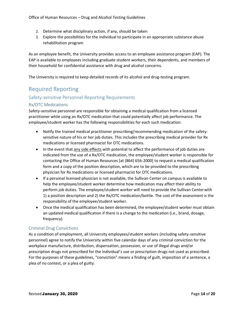Office of Human Resources – Drug and Alcohol Testing Guidelines

- 2. Determine what disciplinary action, if any, should be taken
- 3. Explore the possibilities for the individual to participate in an appropriate substance abuse rehabilitation program

As an employee benefit, the University provides access to an employee assistance program (EAP). The EAP is available to employees including graduate student workers, their dependents, and members of their household for confidential assistance with drug and alcohol concerns.

The University is required to keep detailed records of its alcohol and drug-testing program.

### <span id="page-13-0"></span>Required Reporting

#### <span id="page-13-1"></span>Safety-sensitive Personnel Reporting Requirements

#### Rx/OTC Medications

Safety-sensitive personnel are responsible for obtaining a medical qualification from a licensed practitioner while using an Rx/OTC medication that could potentially affect job performance. The employee/student worker has the following responsibilities for each such medication:

- Notify the trained medical practitioner prescribing/recommending medication of the safetysensitive nature of his or her job duties. This includes the prescribing medical provider for Rx medications or licensed pharmacist for OTC medications.
- In the event that any side effects with potential to affect the performance of job duties are indicated from the use of a Rx/OTC medication, the employee/student worker is responsible for contacting the Office of Human Resources [at (864) 656-2000] to request a medical qualification form and a copy of the position description, which are to be provided to the prescribing physician for Rx medications or licensed pharmacist for OTC medications.
- If a personal licensed physician is not available, the Sullivan Center on campus is available to help the employee/student worker determine how medication may affect their ability to perform job duties. The employee/student worker will need to provide the Sullivan Centerwith 1) a position description and 2) the Rx/OTC medication/bottle. The cost of the assessment is the responsibility of the employee/student worker.
- Once the medical qualification has been determined, the employee/student worker must obtain an updated medical qualification if there is a change to the medication (i.e., brand, dosage, frequency).

#### Criminal Drug Convictions

As a condition of employment, all University employees/student workers (including safety-sensitive personnel) agree to notify the University within five calendar days of any criminal conviction for the workplace manufacture, distribution, dispensation, possession, or use of illegal drugs and/or prescription drugs not prescribed for the individual's use or prescription drugs not used as prescribed. For the purposes of these guidelines, "conviction" means a finding of guilt, imposition of a sentence, a plea of no contest, or a plea of guilty.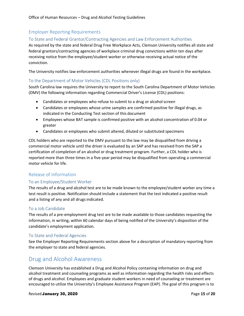#### <span id="page-14-0"></span>Employer Reporting Requirements

#### To State and Federal Grantor/Contracting Agencies and Law Enforcement Authorities

As required by the state and federal Drug Free Workplace Acts, Clemson University notifies all state and federal grantors/contracting agencies of workplace criminal drug convictions within ten days after receiving notice from the employee/student worker or otherwise receiving actual notice of the conviction.

The University notifies law enforcement authorities whenever illegal drugs are found in the workplace.

#### To the Department of Motor Vehicles (CDL Positions only)

South Carolina law requires the University to report to the South Carolina Department of Motor Vehicles (DMV) the following information regarding Commercial Driver's License (CDL) positions:

- Candidates or employees who refuse to submit to a drug or alcohol screen
- Candidates or employees whose urine samples are confirmed positive for illegal drugs, as indicated in the Conducting Test section of this document
- Employees whose BAT sample is confirmed positive with an alcohol concentration of 0.04 or greater
- Candidates or employees who submit altered, diluted or substituted specimens

CDL holders who are reported to the DMV pursuant to the law may be disqualified from driving a commercial motor vehicle until the driver is evaluated by an SAP and has received from the SAP a certification of completion of an alcohol or drug treatment program. Further, a CDL holder who is reported more than three times in a five-year period may be disqualified from operating a commercial motor vehicle for life.

#### <span id="page-14-1"></span>Release of Information

#### To an Employee/Student Worker

The results of a drug and alcohol test are to be made known to the employee/student worker any time a test result is positive. Notification should include a statement that the test indicated a positive result and a listing of any and all drugs indicated.

#### To a Job Candidate

The results of a pre-employment drug test are to be made available to those candidates requesting the information, in writing, within 60 calendar days of being notified of the University's disposition of the candidate's employment application.

#### To State and Federal Agencies

See the Employer Reporting Requirements section above for a description of mandatory reporting from the employer to state and federal agencies.

#### <span id="page-14-2"></span>Drug and Alcohol Awareness

Clemson University has established a Drug and Alcohol Policy containing information on drug and alcohol treatment and counseling programs as well as information regarding the health risks and effects of drugs and alcohol. Employees and graduate student workers in need of counseling or treatment are encouraged to utilize the University's Employee Assistance Program (EAP). The goal of this program is to

#### Revised **January 30, 2020 Page 15** of **20**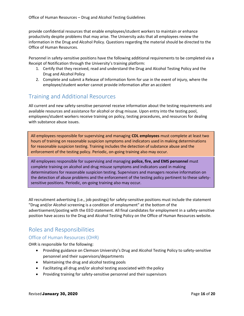provide confidential resources that enable employees/student workers to maintain or enhance productivity despite problems that may arise. The University asks that all employees review the information in the Drug and Alcohol Policy. Questions regarding the material should be directed to the Office of Human Resources.

Personnel in safety-sensitive positions have the following additional requirements to be completed via a Receipt of Notification through the University's training platform:

- 1. Certify that they received, read and understand the Drug and Alcohol Testing Policy and the Drug and Alcohol Policy
- 2. Complete and submit a Release of Information form for use in the event of injury, where the employee/student worker cannot provide information after an accident

### <span id="page-15-0"></span>Training and Additional Resources

All current and new safety-sensitive personnel receive information about the testing requirements and available resources and assistance for alcohol or drug misuse. Upon entry into the testing pool, employees/student workers receive training on policy, testing procedures, and resources for dealing with substance abuse issues.

All employees responsible for supervising and managing **CDL employees** must complete at least two hours of training on reasonable suspicion symptoms and indicators used in making determinations for reasonable suspicion testing. Training includes the detection of substance abuse and the enforcement of the testing policy. Periodic, on-going training also may occur.

All employees responsible for supervising and managing **police, fire, and EMS personnel** must complete training on alcohol and drug misuse symptoms and indicators used in making determinations for reasonable suspicion testing. Supervisors and managers receive information on the detection of abuse problems and the enforcement of the testing policy pertinent to these safetysensitive positions. Periodic, on-going training also may occur.

All recruitment advertising (i.e., job postings) for safety-sensitive positions must include the statement "Drug and/or Alcohol screening is a condition of employment" at the bottom of the advertisement/posting with the EEO statement. All final candidates for employment in a safety-sensitive position have access to the Drug and Alcohol Testing Policy on the Office of Human Resources website.

### <span id="page-15-1"></span>Roles and Responsibilities

#### Office of Human Resources (OHR)

OHR is responsible for the following:

- <span id="page-15-2"></span>• Providing guidance on Clemson University's Drug and Alcohol Testing Policy to safety-sensitive personnel and their supervisors/departments
- Maintaining the drug and alcohol testing pools
- Facilitating all drug and/or alcohol testing associated with the policy
- Providing training for safety-sensitive personnel and their supervisors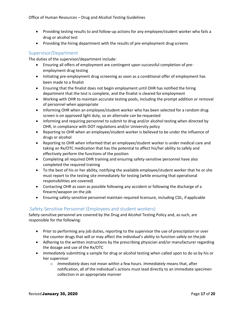- Providing testing results to and follow-up actions for any employee/student worker who fails a drug or alcohol test
- Providing the hiring department with the results of pre-employment drug screens

#### <span id="page-16-0"></span>Supervisor/Department

The duties of the supervisor/department include:

- Ensuring all offers of employment are contingent upon successful completion of preemployment drug testing
- Initiating pre-employment drug screening as soon as a conditional offer of employment has been made to a finalist
- Ensuring that the finalist does not begin employment until OHR has notified the hiring department that the test is complete, and the finalist is cleared for employment
- Working with OHR to maintain accurate testing pools, including the prompt addition or removal of personnel when appropriate
- Informing OHR when an employee/student worker who has been selected for a random drug screen is on approved light duty, so an alternate can be requested
- Informing and requiring personnel to submit to drug and/or alcohol testing when directed by OHR, in compliance with DOT regulations and/or University policy
- Reporting to OHR when an employee/student worker is believed to be under the influence of drugs or alcohol
- Reporting to OHR when informed that an employee/student worker is under medical care and taking an Rx/OTC medication that has the potential to affect his/her ability to safely and effectively perform the functions of the position
- Completing all required OHR training and ensuring safety-sensitive personnel have also completed the required training
- To the best of his or her ability, notifying the available employee/student worker that he or she must report to the testing site immediately for testing (while ensuring that operational responsibilities are covered)
- Contacting OHR as soon as possible following any accident or following the discharge of a firearm/weapon on the job
- Ensuring safety-sensitive personnel maintain required licensure, including CDL, if applicable

#### <span id="page-16-1"></span>Safety-Sensitive Personnel (Employees and student workers)

Safety-sensitive personnel are covered by the Drug and Alcohol Testing Policy and, as such, are responsible for the following:

- Prior to performing any job duties, reporting to the supervisor the use of prescription or over the counter drugs that will or may affect the individual's ability to function safely on thejob
- Adhering to the written instructions by the prescribing physician and/or manufacturer regarding the dosage and use of the Rx/OTC
- *Immediately* submitting a sample for drug or alcohol testing when called upon to do so by his or her supervisor
	- o *Immediately* does not mean within a few hours. *Immediately* means that, after notification, all of the individual's actions must lead directly to an immediate specimen collection in an appropriate manner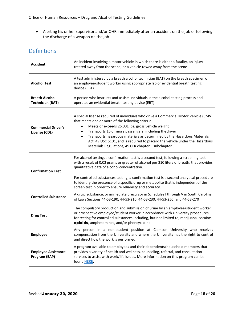• Alerting his or her supervisor and/or OHR immediately after an accident on the job or following the discharge of a weapon on the job

### <span id="page-17-0"></span>Definitions

| <b>Accident</b>                                  | An incident involving a motor vehicle in which there is either a fatality, an injury<br>treated away from the scene, or a vehicle towed away from the scene                                                                                                                                                                                                                                                                                                                                    |  |
|--------------------------------------------------|------------------------------------------------------------------------------------------------------------------------------------------------------------------------------------------------------------------------------------------------------------------------------------------------------------------------------------------------------------------------------------------------------------------------------------------------------------------------------------------------|--|
| <b>Alcohol Test</b>                              | A test administered by a breath alcohol technician (BAT) on the breath specimen of<br>an employee/student worker using appropriate lab or evidential breath testing<br>device (EBT)                                                                                                                                                                                                                                                                                                            |  |
| <b>Breath Alcohol</b><br><b>Technician (BAT)</b> | A person who instructs and assists individuals in the alcohol testing process and<br>operates an evidential breath testing device (EBT)                                                                                                                                                                                                                                                                                                                                                        |  |
| <b>Commercial Driver's</b><br>License (CDL)      | A special license required of individuals who drive a Commercial Motor Vehicle (CMV)<br>that meets one or more of the following criteria:<br>Meets or exceeds 26,001 lbs. gross vehicle weight<br>Transports 16 or more passengers, including the driver<br>٠<br>Transports hazardous materials as determined by the Hazardous Materials<br>$\bullet$<br>Act, 49 USC 5101, and is required to placard the vehicle under the Hazardous<br>Materials Regulations, 49 CFR chapter I, subchapter C |  |
| <b>Confirmation Test</b>                         | For alcohol testing, a confirmation test is a second test, following a screening test<br>with a result of 0.02 grams or greater of alcohol per 210 liters of breath, that provides<br>quantitative data of alcohol concentration.<br>For controlled substances testing, a confirmation test is a second analytical procedure<br>to identify the presence of a specific drug or metabolite that is independent of the                                                                           |  |
| <b>Controlled Substance</b>                      | screen test in order to ensure reliability and accuracy.<br>A drug, substance, or immediate precursor in Schedules I through V in South Carolina<br>of Laws Sections 44-53-190, 44-53-210, 44-53-230, 44-53-250, and 44-53-270                                                                                                                                                                                                                                                                 |  |
| <b>Drug Test</b>                                 | The compulsory production and submission of urine by an employee/student worker<br>or prospective employee/student worker in accordance with University procedures<br>for testing for controlled substances including, but not limited to, marijuana, cocaine,<br>opioids, amphetamines, and/or phencyclidine                                                                                                                                                                                  |  |
| <b>Employee</b>                                  | Any person in a non-student position at Clemson University who receives<br>compensation from the University and where the University has the right to control<br>and direct how the work is performed.                                                                                                                                                                                                                                                                                         |  |
| <b>Employee Assistance</b><br>Program (EAP)      | A program available to employees and their dependents/household members that<br>provides a variety of health and wellness, counseling, referral, and consultation<br>services to assist with work/life issues. More information on this program can be<br>found HERE.                                                                                                                                                                                                                          |  |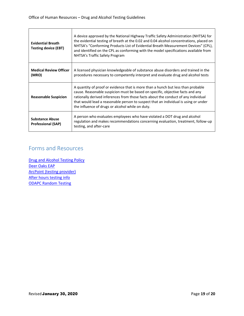| <b>Evidential Breath</b><br><b>Testing device (EBT)</b> | A device approved by the National Highway Traffic Safety Administration (NHTSA) for<br>the evidential testing of breath at the 0.02 and 0.04 alcohol concentrations, placed on<br>NHTSA's "Conforming Products List of Evidential Breath Measurement Devices" (CPL),<br>and identified on the CPL as conforming with the model specifications available from<br>NHTSA's Traffic Safety Program      |
|---------------------------------------------------------|-----------------------------------------------------------------------------------------------------------------------------------------------------------------------------------------------------------------------------------------------------------------------------------------------------------------------------------------------------------------------------------------------------|
| <b>Medical Review Officer</b><br>(MRO)                  | A licensed physician knowledgeable of substance abuse disorders and trained in the<br>procedures necessary to competently interpret and evaluate drug and alcohol tests                                                                                                                                                                                                                             |
| <b>Reasonable Suspicion</b>                             | A quantity of proof or evidence that is more than a hunch but less than probable<br>cause. Reasonable suspicion must be based on specific, objective facts and any<br>rationally derived inferences from those facts about the conduct of any individual<br>that would lead a reasonable person to suspect that an individual is using or under<br>the influence of drugs or alcohol while on duty. |
| <b>Substance Abuse</b><br><b>Professional (SAP)</b>     | A person who evaluates employees who have violated a DOT drug and alcohol<br>regulation and makes recommendations concerning evaluation, treatment, follow-up<br>testing, and after-care                                                                                                                                                                                                            |

### <span id="page-18-0"></span>Forms and Resources

[Drug and Alcohol Testing Policy](http://media.clemson.edu/humanres/policies_procedures/Drug_And_Alcohol/Drug%20and%20Alcohol%20Testing%20Policy.pdf) [Deer Oaks EAP](https://www.deeroakseap.com/) [ArcPoint \(testing provider\)](https://www.arcpointlabs.com/) [After hours testing info](http://media.clemson.edu/humanres/After%20Hours-Post%20Accident%20SOUTH%20CAROLINA.PDF) [ODAPC Random Testing](https://www.transportation.gov/sites/dot.dev/files/docs/ODAPC_Random%20Testing%20Brochure.pdf)